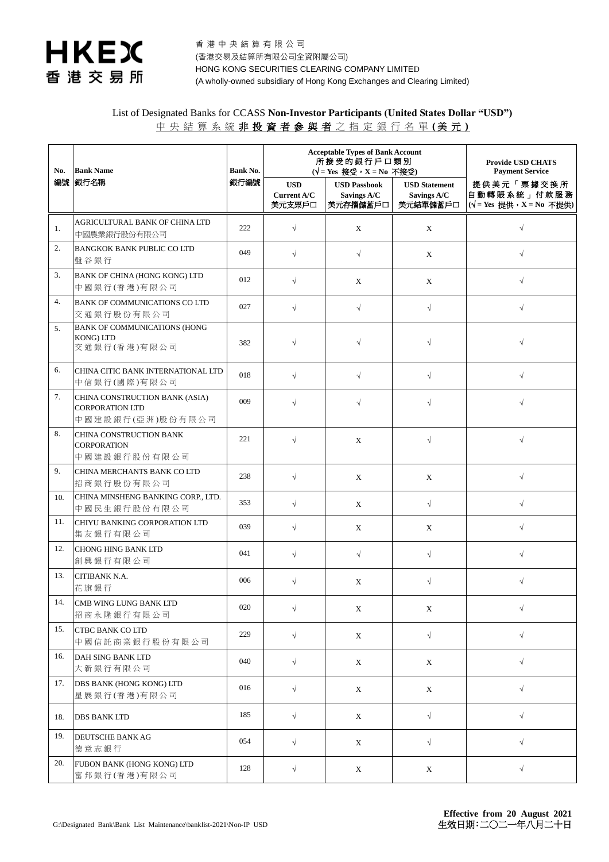

香 港 中 央 結 算 有 限 公 司 (香港交易及結算所有限公司全資附屬公司) HONG KONG SECURITIES CLEARING COMPANY LIMITED (A wholly-owned subsidiary of Hong Kong Exchanges and Clearing Limited)

## List of Designated Banks for CCASS **Non-Investor Participants (United States Dollar "USD")** 中 央 結 算 系 統 非 投 資 者 參 與 者 之 指 定 銀 行 名 單 **(** 美 元 **)**

| No. | <b>Bank Name</b><br>銀行名稱                                                     | <b>Bank No.</b><br>銀行編號 | <b>Acceptable Types of Bank Account</b><br>所接受的銀行戶口類別<br>( $\sqrt{}$ = Yes 接受, X = No 不接受) |                                                |                                                 | <b>Provide USD CHATS</b><br><b>Payment Service</b>          |
|-----|------------------------------------------------------------------------------|-------------------------|--------------------------------------------------------------------------------------------|------------------------------------------------|-------------------------------------------------|-------------------------------------------------------------|
| 編號  |                                                                              |                         | <b>USD</b><br>Current A/C<br>美元支票戶口                                                        | <b>USD Passbook</b><br>Savings A/C<br>美元存摺儲蓄戶口 | <b>USD Statement</b><br>Savings A/C<br>美元結單儲蓄戶口 | 提供美元「票據交換所<br>自動轉賬系統」付款服務<br>$(\sqrt{=}$ Yes 提供,X = No 不提供) |
| 1.  | AGRICULTURAL BANK OF CHINA LTD<br>中國農業銀行股份有限公司                               | 222                     | $\sqrt{}$                                                                                  | X                                              | X                                               | $\sqrt{ }$                                                  |
| 2.  | <b>BANGKOK BANK PUBLIC CO LTD</b><br>盤谷銀行                                    | 049                     | $\sqrt{}$                                                                                  | $\sqrt{ }$                                     | X                                               | $\sqrt{}$                                                   |
| 3.  | BANK OF CHINA (HONG KONG) LTD<br>中國銀行(香港)有限公司                                | 012                     | $\sqrt{}$                                                                                  | X                                              | X                                               | $\sqrt{}$                                                   |
| 4.  | BANK OF COMMUNICATIONS CO LTD<br>交通銀行股份有限公司                                  | 027                     | $\sqrt{}$                                                                                  | $\sqrt{ }$                                     | $\sqrt{}$                                       | $\sqrt{}$                                                   |
| 5.  | <b>BANK OF COMMUNICATIONS (HONG</b><br>KONG) LTD<br>交通銀行(香港)有限公司             | 382                     | $\sqrt{}$                                                                                  | $\sqrt{}$                                      | $\sqrt{}$                                       | $\sqrt{}$                                                   |
| 6.  | CHINA CITIC BANK INTERNATIONAL LTD<br>中信銀行(國際)有限公司                           | 018                     | $\sqrt{}$                                                                                  | $\sqrt{}$                                      | $\sqrt{}$                                       | $\sqrt{}$                                                   |
| 7.  | CHINA CONSTRUCTION BANK (ASIA)<br><b>CORPORATION LTD</b><br>中國建設銀行(亞洲)股份有限公司 | 009                     | $\sqrt{}$                                                                                  | $\sqrt{}$                                      | $\sqrt{}$                                       | $\sqrt{}$                                                   |
| 8.  | CHINA CONSTRUCTION BANK<br><b>CORPORATION</b><br>中國建設銀行股份有限公司                | 221                     | $\sqrt{ }$                                                                                 | X                                              | $\sqrt{ }$                                      | $\sqrt{}$                                                   |
| 9.  | CHINA MERCHANTS BANK CO LTD<br>招商銀行股份有限公司                                    | 238                     | $\sqrt{}$                                                                                  | X                                              | X                                               | $\sqrt{ }$                                                  |
| 10. | CHINA MINSHENG BANKING CORP., LTD.<br>中國民生銀行股份有限公司                           | 353                     | $\sqrt{}$                                                                                  | X                                              | $\sqrt{}$                                       | $\sqrt{}$                                                   |
| 11. | CHIYU BANKING CORPORATION LTD<br>集友銀行有限公司                                    | 039                     | $\sqrt{}$                                                                                  | X                                              | X                                               | $\sqrt{}$                                                   |
| 12. | <b>CHONG HING BANK LTD</b><br>創興銀行有限公司                                       | 041                     | $\sqrt{}$                                                                                  | $\sqrt{ }$                                     | $\sqrt{}$                                       | $\sqrt{}$                                                   |
| 13. | CITIBANK N.A.<br>花旗銀行                                                        | 006                     | $\sqrt{}$                                                                                  | $\mathbf X$                                    | $\sqrt{}$                                       | $\sqrt{}$                                                   |
| 14. | CMB WING LUNG BANK LTD<br>招商永隆銀行有限公司                                         | 020                     | $\sqrt{}$                                                                                  | X                                              | X                                               | $\sqrt{}$                                                   |
| 15. | CTBC BANK CO LTD<br>中國信託商業銀行股份有限公司                                           | 229                     | $\sqrt{}$                                                                                  | $\mathbf X$                                    | $\sqrt{}$                                       | $\sqrt{ }$                                                  |
| 16. | DAH SING BANK LTD<br>大新銀行有限公司                                                | 040                     | $\sqrt{}$                                                                                  | X                                              | X                                               | $\sqrt{}$                                                   |
| 17. | DBS BANK (HONG KONG) LTD<br>星展銀行(香港)有限公司                                     | 016                     | $\sqrt{ }$                                                                                 | $\mathbf X$                                    | $\mathbf X$                                     | $\sqrt{}$                                                   |
| 18. | <b>DBS BANK LTD</b>                                                          | 185                     | $\sqrt{}$                                                                                  | X                                              | $\sqrt{ }$                                      | $\sqrt{ }$                                                  |
| 19. | DEUTSCHE BANK AG<br>德意志銀行                                                    | 054                     | $\sqrt{ }$                                                                                 | X                                              | $\sqrt{ }$                                      | $\sqrt{ }$                                                  |
| 20. | FUBON BANK (HONG KONG) LTD<br>富邦銀行(香港)有限公司                                   | 128                     | $\sqrt{ }$                                                                                 | $\mathbf X$                                    | $\mathbf X$                                     | $\sqrt{ }$                                                  |